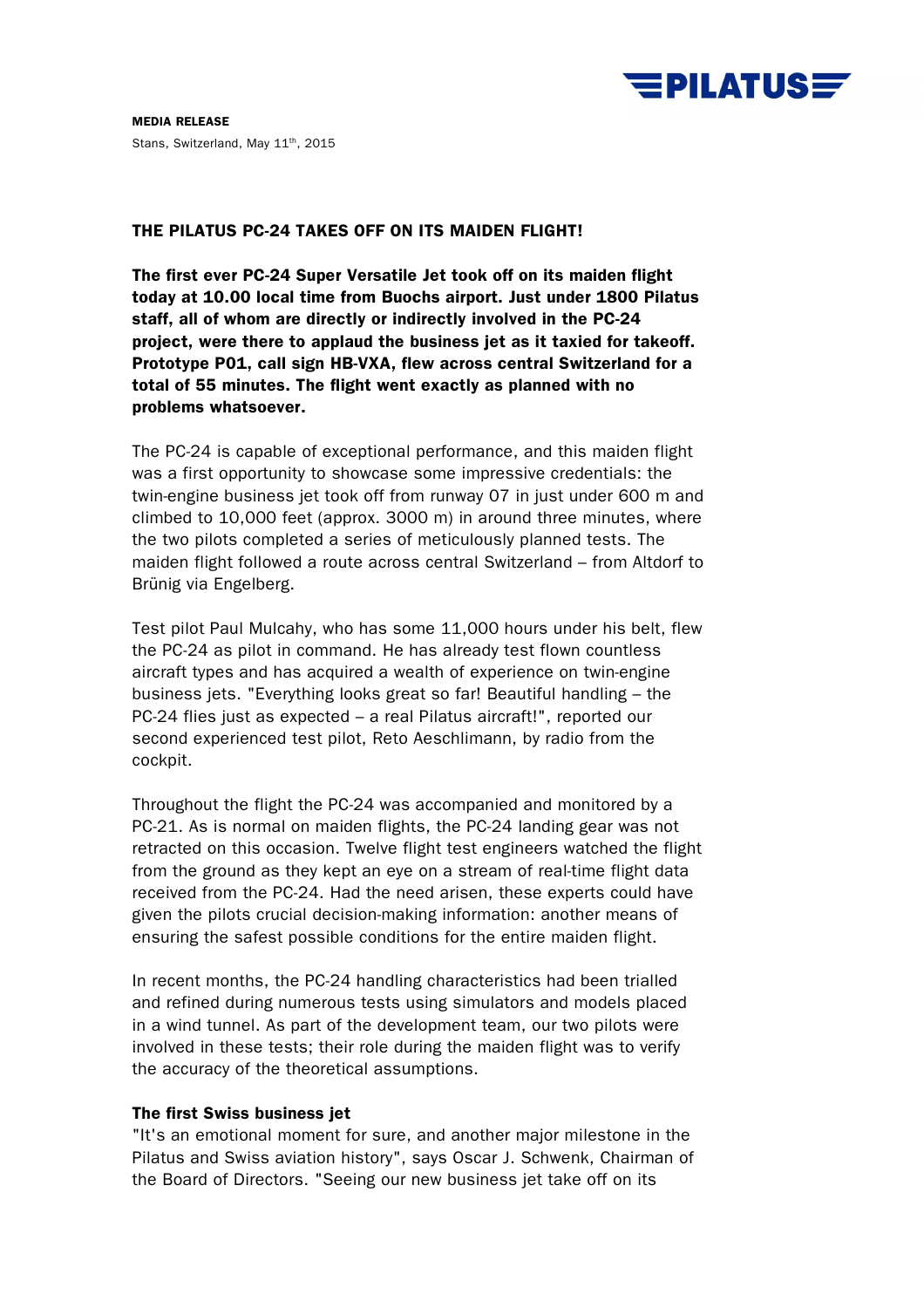

**MEDIA RELEASE**  Stans, Switzerland, May 11<sup>th</sup>, 2015

# **THE PILATUS PC-24 TAKES OFF ON ITS MAIDEN FLIGHT!**

**The first ever PC-24 Super Versatile Jet took off on its maiden flight today at 10.00 local time from Buochs airport. Just under 1800 Pilatus staff, all of whom are directly or indirectly involved in the PC-24 project, were there to applaud the business jet as it taxied for takeoff. Prototype P01, call sign HB-VXA, flew across central Switzerland for a total of 55 minutes. The flight went exactly as planned with no problems whatsoever.** 

The PC-24 is capable of exceptional performance, and this maiden flight was a first opportunity to showcase some impressive credentials: the twin-engine business jet took off from runway 07 in just under 600 m and climbed to 10,000 feet (approx. 3000 m) in around three minutes, where the two pilots completed a series of meticulously planned tests. The maiden flight followed a route across central Switzerland – from Altdorf to Brünig via Engelberg.

Test pilot Paul Mulcahy, who has some 11,000 hours under his belt, flew the PC-24 as pilot in command. He has already test flown countless aircraft types and has acquired a wealth of experience on twin-engine business jets. "Everything looks great so far! Beautiful handling – the PC-24 flies just as expected – a real Pilatus aircraft!", reported our second experienced test pilot, Reto Aeschlimann, by radio from the cockpit.

Throughout the flight the PC-24 was accompanied and monitored by a PC-21. As is normal on maiden flights, the PC-24 landing gear was not retracted on this occasion. Twelve flight test engineers watched the flight from the ground as they kept an eye on a stream of real-time flight data received from the PC-24. Had the need arisen, these experts could have given the pilots crucial decision-making information: another means of ensuring the safest possible conditions for the entire maiden flight.

In recent months, the PC-24 handling characteristics had been trialled and refined during numerous tests using simulators and models placed in a wind tunnel. As part of the development team, our two pilots were involved in these tests; their role during the maiden flight was to verify the accuracy of the theoretical assumptions.

# **The first Swiss business jet**

"It's an emotional moment for sure, and another major milestone in the Pilatus and Swiss aviation history", says Oscar J. Schwenk, Chairman of the Board of Directors. "Seeing our new business jet take off on its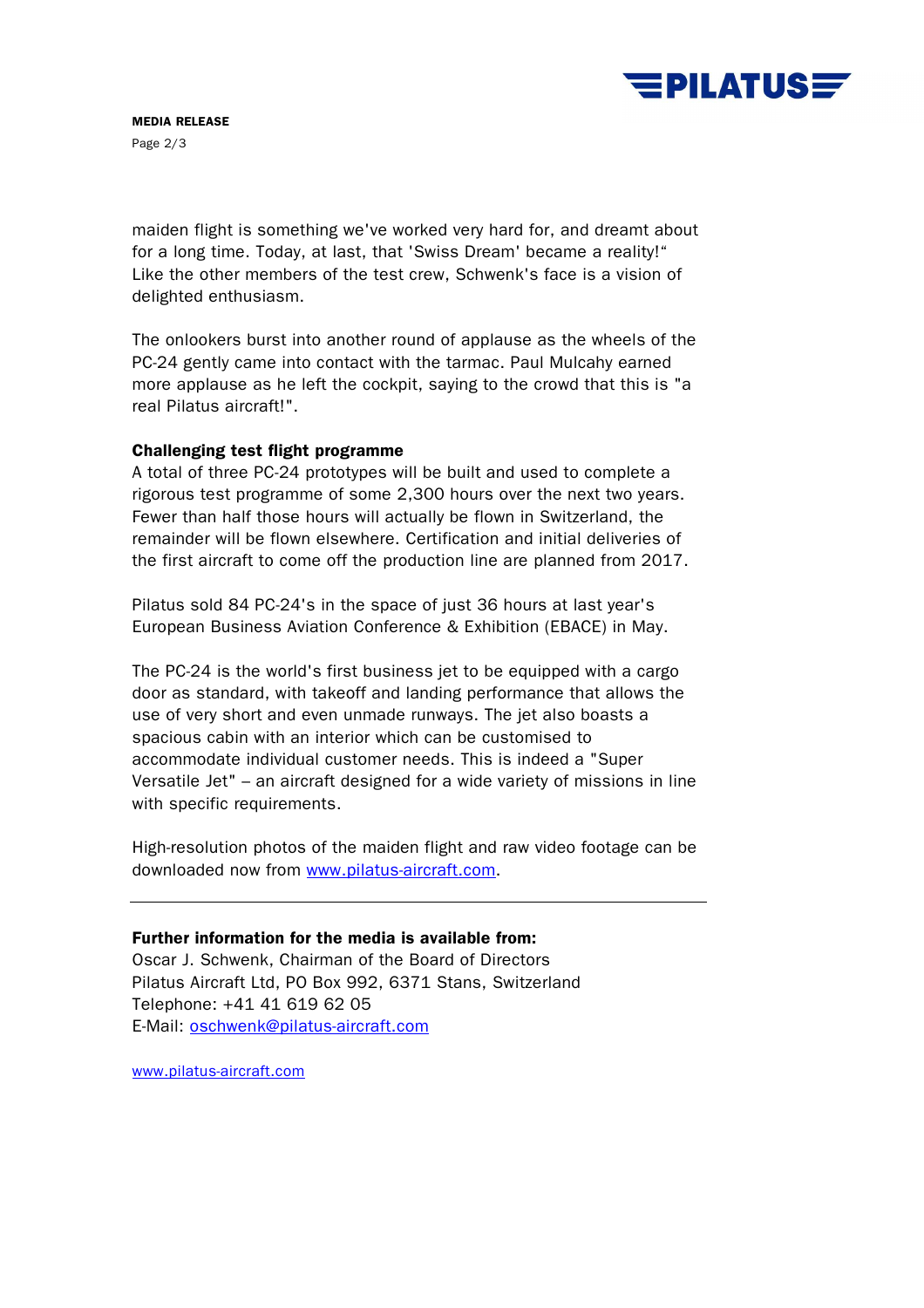

maiden flight is something we've worked very hard for, and dreamt about for a long time. Today, at last, that 'Swiss Dream' became a reality!" Like the other members of the test crew, Schwenk's face is a vision of delighted enthusiasm.

The onlookers burst into another round of applause as the wheels of the PC-24 gently came into contact with the tarmac. Paul Mulcahy earned more applause as he left the cockpit, saying to the crowd that this is "a real Pilatus aircraft!".

# **Challenging test flight programme**

A total of three PC-24 prototypes will be built and used to complete a rigorous test programme of some 2,300 hours over the next two years. Fewer than half those hours will actually be flown in Switzerland, the remainder will be flown elsewhere. Certification and initial deliveries of the first aircraft to come off the production line are planned from 2017.

Pilatus sold 84 PC-24's in the space of just 36 hours at last year's European Business Aviation Conference & Exhibition (EBACE) in May.

The PC-24 is the world's first business jet to be equipped with a cargo door as standard, with takeoff and landing performance that allows the use of very short and even unmade runways. The jet also boasts a spacious cabin with an interior which can be customised to accommodate individual customer needs. This is indeed a "Super Versatile Jet" – an aircraft designed for a wide variety of missions in line with specific requirements.

High-resolution photos of the maiden flight and raw video footage can be downloaded now from www.pilatus-aircraft.com.

# **Further information for the media is available from:**

Oscar J. Schwenk, Chairman of the Board of Directors Pilatus Aircraft Ltd, PO Box 992, 6371 Stans, Switzerland Telephone: +41 41 619 62 05 E-Mail: oschwenk@pilatus-aircraft.com

www.pilatus-aircraft.com